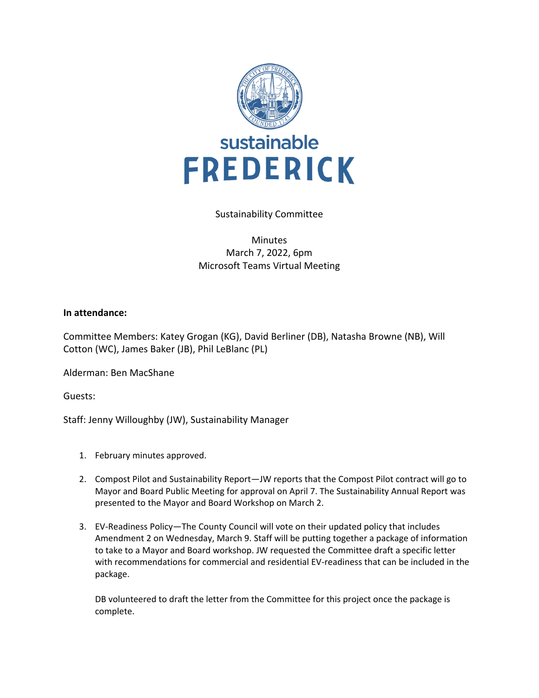

## Sustainability Committee

## Minutes March 7, 2022, 6pm Microsoft Teams Virtual Meeting

## **In attendance:**

Committee Members: Katey Grogan (KG), David Berliner (DB), Natasha Browne (NB), Will Cotton (WC), James Baker (JB), Phil LeBlanc (PL)

Alderman: Ben MacShane

Guests:

Staff: Jenny Willoughby (JW), Sustainability Manager

- 1. February minutes approved.
- 2. Compost Pilot and Sustainability Report—JW reports that the Compost Pilot contract will go to Mayor and Board Public Meeting for approval on April 7. The Sustainability Annual Report was presented to the Mayor and Board Workshop on March 2.
- 3. EV-Readiness Policy—The County Council will vote on their updated policy that includes Amendment 2 on Wednesday, March 9. Staff will be putting together a package of information to take to a Mayor and Board workshop. JW requested the Committee draft a specific letter with recommendations for commercial and residential EV-readiness that can be included in the package.

DB volunteered to draft the letter from the Committee for this project once the package is complete.